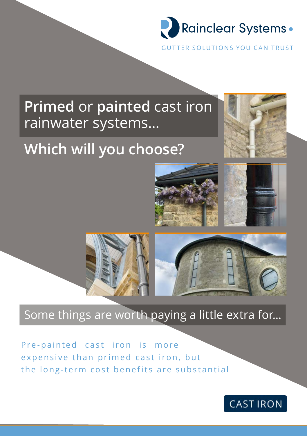

GUTTER SOLUTIONS YOU CAN TRUST

## **Primed** or **painted** cast iron rainwater systems...

# **Which will you choose?**









#### Some things are worth paying a little extra for...

Pre-painted cast iron is more expensive than primed cast iron, but the long-term cost benefits are substantial

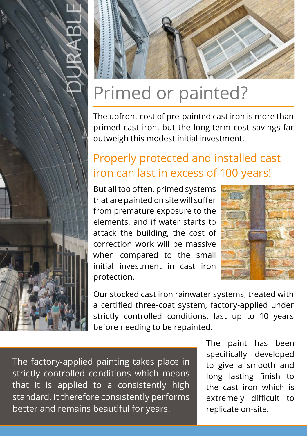



# Primed or painted?

The upfront cost of pre-painted cast iron is more than primed cast iron, but the long-term cost savings far outweigh this modest initial investment.

### Properly protected and installed cast iron can last in excess of 100 years!

But all too often, primed systems that are painted on site will suffer from premature exposure to the elements, and if water starts to attack the building, the cost of correction work will be massive when compared to the small initial investment in cast iron protection.



Our stocked cast iron rainwater systems, treated with a certified three-coat system, factory-applied under strictly controlled conditions, last up to 10 years before needing to be repainted.

The factory-applied painting takes place in strictly controlled conditions which means that it is applied to a consistently high standard. It therefore consistently performs The paint has been specifically developed to give a smooth and long lasting finish to the cast iron which is extremely difficult to replicate on-site.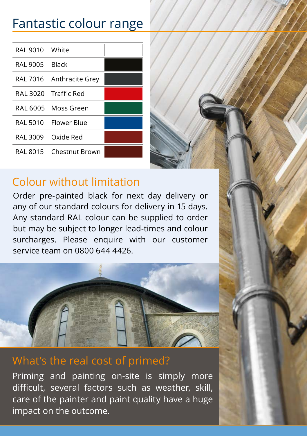#### Fantastic colour range

| RAL 9010 White |                          |  |
|----------------|--------------------------|--|
| RAL 9005 Black |                          |  |
|                | RAL 7016 Anthracite Grey |  |
|                | RAL 3020 Traffic Red     |  |
|                | RAL 6005 Moss Green      |  |
|                | RAL 5010 Flower Blue     |  |
|                | RAL 3009 Oxide Red       |  |
|                | RAL 8015 Chestnut Brown  |  |
|                |                          |  |



#### Colour without limitation

Order pre-painted black for next day delivery or any of our standard colours for delivery in 15 days. Any standard RAL colour can be supplied to order but may be subject to longer lead-times and colour surcharges. Please enquire with our customer service team on 0800 644 4426.



#### What's the real cost of primed?

Priming and painting on-site is simply more difficult, several factors such as weather, skill, care of the painter and paint quality have a huge impact on the outcome.